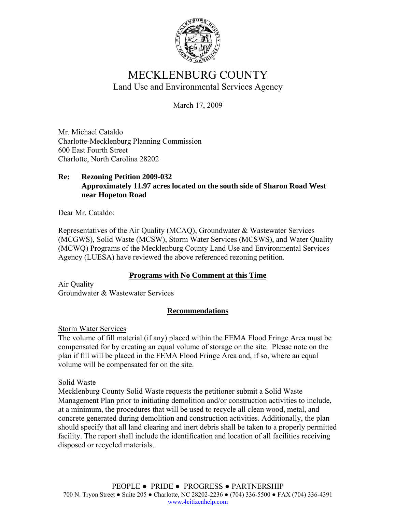

# MECKLENBURG COUNTY Land Use and Environmental Services Agency

March 17, 2009

Mr. Michael Cataldo Charlotte-Mecklenburg Planning Commission 600 East Fourth Street Charlotte, North Carolina 28202

### **Re: Rezoning Petition 2009-032 Approximately 11.97 acres located on the south side of Sharon Road West near Hopeton Road**

Dear Mr. Cataldo:

Representatives of the Air Quality (MCAQ), Groundwater & Wastewater Services (MCGWS), Solid Waste (MCSW), Storm Water Services (MCSWS), and Water Quality (MCWQ) Programs of the Mecklenburg County Land Use and Environmental Services Agency (LUESA) have reviewed the above referenced rezoning petition.

#### **Programs with No Comment at this Time**

Air Quality Groundwater & Wastewater Services

#### **Recommendations**

Storm Water Services

The volume of fill material (if any) placed within the FEMA Flood Fringe Area must be compensated for by creating an equal volume of storage on the site. Please note on the plan if fill will be placed in the FEMA Flood Fringe Area and, if so, where an equal volume will be compensated for on the site.

Solid Waste

Mecklenburg County Solid Waste requests the petitioner submit a Solid Waste Management Plan prior to initiating demolition and/or construction activities to include, at a minimum, the procedures that will be used to recycle all clean wood, metal, and concrete generated during demolition and construction activities. Additionally, the plan should specify that all land clearing and inert debris shall be taken to a properly permitted facility. The report shall include the identification and location of all facilities receiving disposed or recycled materials.